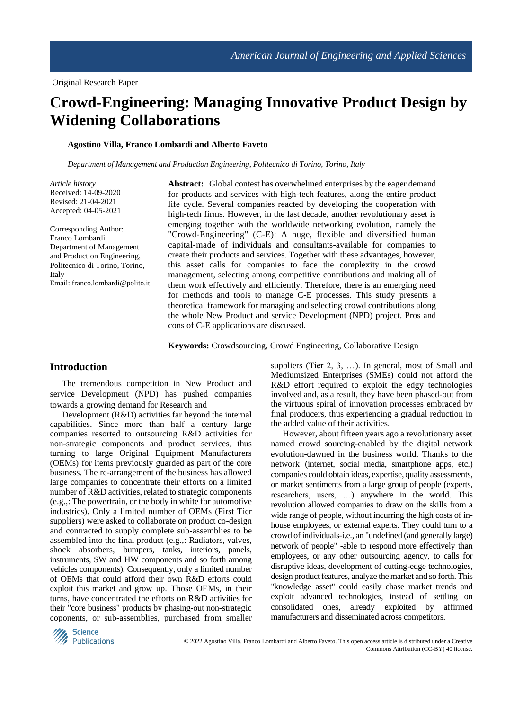# **Crowd-Engineering: Managing Innovative Product Design by Widening Collaborations**

#### **Agostino Villa, Franco Lombardi and Alberto Faveto**

*Department of Management and Production Engineering, Politecnico di Torino, Torino, Italy*

*Article history* Received: 14-09-2020 Revised: 21-04-2021 Accepted: 04-05-2021

Corresponding Author: Franco Lombardi Department of Management and Production Engineering, Politecnico di Torino, Torino, Italy Email: franco.lombardi@polito.it Abstract: Global contest has overwhelmed enterprises by the eager demand for products and services with high-tech features, along the entire product life cycle. Several companies reacted by developing the cooperation with high-tech firms. However, in the last decade, another revolutionary asset is emerging together with the worldwide networking evolution, namely the "Crowd-Engineering" (C-E): A huge, flexible and diversified human capital-made of individuals and consultants-available for companies to create their products and services. Together with these advantages, however, this asset calls for companies to face the complexity in the crowd management, selecting among competitive contributions and making all of them work effectively and efficiently. Therefore, there is an emerging need for methods and tools to manage C-E processes. This study presents a theoretical framework for managing and selecting crowd contributions along the whole New Product and service Development (NPD) project. Pros and cons of C-E applications are discussed.

**Keywords:** Crowdsourcing, Crowd Engineering, Collaborative Design

## **Introduction**

The tremendous competition in New Product and service Development (NPD) has pushed companies towards a growing demand for Research and

Development (R&D) activities far beyond the internal capabilities. Since more than half a century large companies resorted to outsourcing R&D activities for non-strategic components and product services, thus turning to large Original Equipment Manufacturers (OEMs) for items previously guarded as part of the core business. The re-arrangement of the business has allowed large companies to concentrate their efforts on a limited number of R&D activities, related to strategic components (e.g.,: The powertrain, or the body in white for automotive industries). Only a limited number of OEMs (First Tier suppliers) were asked to collaborate on product co-design and contracted to supply complete sub-assemblies to be assembled into the final product (e.g.,: Radiators, valves, shock absorbers, bumpers, tanks, interiors, panels, instruments, SW and HW components and so forth among vehicles components). Consequently, only a limited number of OEMs that could afford their own R&D efforts could exploit this market and grow up. Those OEMs, in their turns, have concentrated the efforts on R&D activities for their "core business" products by phasing-out non-strategic coponents, or sub-assemblies, purchased from smaller

suppliers (Tier 2, 3, …). In general, most of Small and Mediumsized Enterprises (SMEs) could not afford the R&D effort required to exploit the edgy technologies involved and, as a result, they have been phased-out from the virtuous spiral of innovation processes embraced by final producers, thus experiencing a gradual reduction in the added value of their activities.

However, about fifteen years ago a revolutionary asset named crowd sourcing-enabled by the digital network evolution-dawned in the business world. Thanks to the network (internet, social media, smartphone apps, etc.) companies could obtain ideas, expertise, quality assessments, or market sentiments from a large group of people (experts, researchers, users, …) anywhere in the world. This revolution allowed companies to draw on the skills from a wide range of people, without incurring the high costs of inhouse employees, or external experts. They could turn to a crowd of individuals-i.e., an "undefined (and generally large) network of people" -able to respond more effectively than employees, or any other outsourcing agency, to calls for disruptive ideas, development of cutting-edge technologies, design product features, analyze the market and so forth. This "knowledge asset" could easily chase market trends and exploit advanced technologies, instead of settling on consolidated ones, already exploited by affirmed manufacturers and disseminated across competitors.

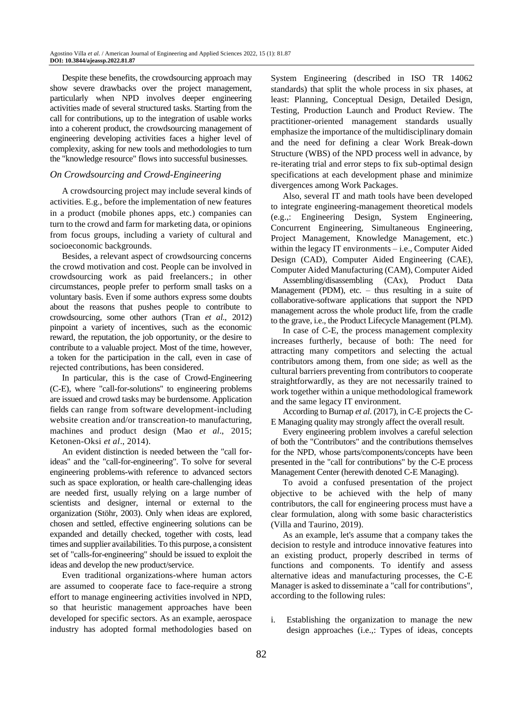Despite these benefits, the crowdsourcing approach may show severe drawbacks over the project management, particularly when NPD involves deeper engineering activities made of several structured tasks. Starting from the call for contributions, up to the integration of usable works into a coherent product, the crowdsourcing management of engineering developing activities faces a higher level of complexity, asking for new tools and methodologies to turn the "knowledge resource" flows into successful businesses.

#### *On Crowdsourcing and Crowd-Engineering*

A crowdsourcing project may include several kinds of activities. E.g., before the implementation of new features in a product (mobile phones apps, etc.) companies can turn to the crowd and farm for marketing data, or opinions from focus groups, including a variety of cultural and socioeconomic backgrounds.

Besides, a relevant aspect of crowdsourcing concerns the crowd motivation and cost. People can be involved in crowdsourcing work as paid freelancers.; in other circumstances, people prefer to perform small tasks on a voluntary basis. Even if some authors express some doubts about the reasons that pushes people to contribute to crowdsourcing, some other authors (Tran *et al*., 2012) pinpoint a variety of incentives, such as the economic reward, the reputation, the job opportunity, or the desire to contribute to a valuable project. Most of the time, however, a token for the participation in the call, even in case of rejected contributions, has been considered.

In particular, this is the case of Crowd-Engineering (C-E), where "call-for-solutions" to engineering problems are issued and crowd tasks may be burdensome. Application fields can range from software development-including website creation and/or transcreation-to manufacturing, machines and product design (Mao *et al*., 2015; Ketonen-Oksi *et al*., 2014).

An evident distinction is needed between the "call forideas" and the "call-for-engineering". To solve for several engineering problems-with reference to advanced sectors such as space exploration, or health care-challenging ideas are needed first, usually relying on a large number of scientists and designer, internal or external to the organization (Stöhr, 2003). Only when ideas are explored, chosen and settled, effective engineering solutions can be expanded and detailly checked, together with costs, lead times and supplier availabilities. To this purpose, a consistent set of "calls-for-engineering" should be issued to exploit the ideas and develop the new product/service.

Even traditional organizations-where human actors are assumed to cooperate face to face-require a strong effort to manage engineering activities involved in NPD, so that heuristic management approaches have been developed for specific sectors. As an example, aerospace industry has adopted formal methodologies based on System Engineering (described in ISO TR 14062 standards) that split the whole process in six phases, at least: Planning, Conceptual Design, Detailed Design, Testing, Production Launch and Product Review. The practitioner-oriented management standards usually emphasize the importance of the multidisciplinary domain and the need for defining a clear Work Break-down Structure (WBS) of the NPD process well in advance, by re-iterating trial and error steps to fix sub-optimal design specifications at each development phase and minimize divergences among Work Packages.

Also, several IT and math tools have been developed to integrate engineering-management theoretical models (e.g.,: Engineering Design, System Engineering, Concurrent Engineering, Simultaneous Engineering, Project Management, Knowledge Management, etc.) within the legacy IT environments – i.e., Computer Aided Design (CAD), Computer Aided Engineering (CAE), Computer Aided Manufacturing (CAM), Computer Aided

Assembling/disassembling (CAx), Product Data Management (PDM), etc. – thus resulting in a suite of collaborative-software applications that support the NPD management across the whole product life, from the cradle to the grave, i.e., the Product Lifecycle Management (PLM).

In case of C-E, the process management complexity increases furtherly, because of both: The need for attracting many competitors and selecting the actual contributors among them, from one side; as well as the cultural barriers preventing from contributors to cooperate straightforwardly, as they are not necessarily trained to work together within a unique methodological framework and the same legacy IT environment.

According to Burnap *et al*. (2017), in C-E projects the C-E Managing quality may strongly affect the overall result.

Every engineering problem involves a careful selection of both the "Contributors" and the contributions themselves for the NPD, whose parts/components/concepts have been presented in the "call for contributions" by the C-E process Management Center (herewith denoted C-E Managing).

To avoid a confused presentation of the project objective to be achieved with the help of many contributors, the call for engineering process must have a clear formulation, along with some basic characteristics (Villa and Taurino, 2019).

As an example, let's assume that a company takes the decision to restyle and introduce innovative features into an existing product, properly described in terms of functions and components. To identify and assess alternative ideas and manufacturing processes, the C-E Manager is asked to disseminate a "call for contributions", according to the following rules:

i. Establishing the organization to manage the new design approaches (i.e.,: Types of ideas, concepts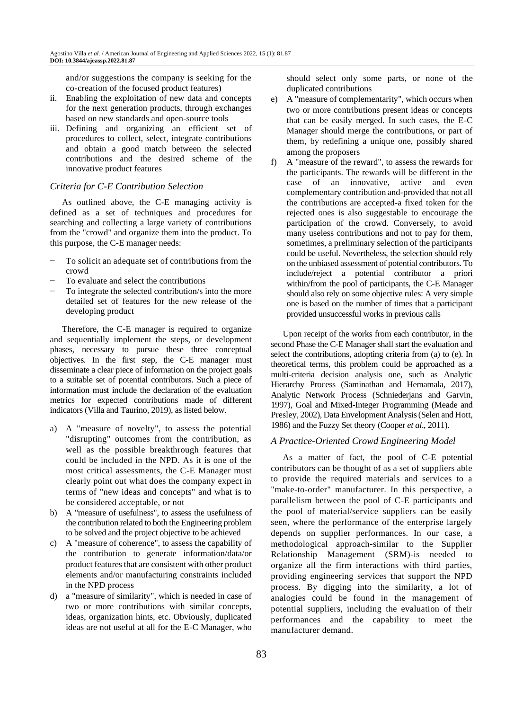and/or suggestions the company is seeking for the co-creation of the focused product features)

- ii. Enabling the exploitation of new data and concepts for the next generation products, through exchanges based on new standards and open-source tools
- iii. Defining and organizing an efficient set of procedures to collect, select, integrate contributions and obtain a good match between the selected contributions and the desired scheme of the innovative product features

#### *Criteria for C-E Contribution Selection*

As outlined above, the C-E managing activity is defined as a set of techniques and procedures for searching and collecting a large variety of contributions from the "crowd" and organize them into the product. To this purpose, the C-E manager needs:

- To solicit an adequate set of contributions from the crowd
- To evaluate and select the contributions
- To integrate the selected contribution/s into the more detailed set of features for the new release of the developing product

Therefore, the C-E manager is required to organize and sequentially implement the steps, or development phases, necessary to pursue these three conceptual objectives. In the first step, the C-E manager must disseminate a clear piece of information on the project goals to a suitable set of potential contributors. Such a piece of information must include the declaration of the evaluation metrics for expected contributions made of different indicators (Villa and Taurino, 2019), as listed below.

- a) A "measure of novelty", to assess the potential "disrupting" outcomes from the contribution, as well as the possible breakthrough features that could be included in the NPD. As it is one of the most critical assessments, the C-E Manager must clearly point out what does the company expect in terms of "new ideas and concepts" and what is to be considered acceptable, or not
- b) A "measure of usefulness", to assess the usefulness of the contribution related to both the Engineering problem to be solved and the project objective to be achieved
- c) A "measure of coherence", to assess the capability of the contribution to generate information/data/or product features that are consistent with other product elements and/or manufacturing constraints included in the NPD process
- d) a "measure of similarity", which is needed in case of two or more contributions with similar concepts, ideas, organization hints, etc. Obviously, duplicated ideas are not useful at all for the E-C Manager, who

should select only some parts, or none of the duplicated contributions

- e) A "measure of complementarity", which occurs when two or more contributions present ideas or concepts that can be easily merged. In such cases, the E-C Manager should merge the contributions, or part of them, by redefining a unique one, possibly shared among the proposers
- f) A "measure of the reward", to assess the rewards for the participants. The rewards will be different in the case of an innovative, active and even complementary contribution and-provided that not all the contributions are accepted-a fixed token for the rejected ones is also suggestable to encourage the participation of the crowd. Conversely, to avoid many useless contributions and not to pay for them, sometimes, a preliminary selection of the participants could be useful. Nevertheless, the selection should rely on the unbiased assessment of potential contributors. To include/reject a potential contributor a priori within/from the pool of participants, the C-E Manager should also rely on some objective rules: A very simple one is based on the number of times that a participant provided unsuccessful works in previous calls

Upon receipt of the works from each contributor, in the second Phase the C-E Manager shall start the evaluation and select the contributions, adopting criteria from (a) to (e). In theoretical terms, this problem could be approached as a multi-criteria decision analysis one, such as Analytic Hierarchy Process (Saminathan and Hemamala, 2017), Analytic Network Process (Schniederjans and Garvin, 1997), Goal and Mixed-Integer Programming (Meade and Presley, 2002), Data Envelopment Analysis (Selen and Hott, 1986) and the Fuzzy Set theory (Cooper *et al*., 2011).

## *A Practice-Oriented Crowd Engineering Model*

As a matter of fact, the pool of C-E potential contributors can be thought of as a set of suppliers able to provide the required materials and services to a "make-to-order" manufacturer. In this perspective, a parallelism between the pool of C-E participants and the pool of material/service suppliers can be easily seen, where the performance of the enterprise largely depends on supplier performances. In our case, a methodological approach-similar to the Supplier Relationship Management (SRM)-is needed to organize all the firm interactions with third parties, providing engineering services that support the NPD process. By digging into the similarity, a lot of analogies could be found in the management of potential suppliers, including the evaluation of their performances and the capability to meet the manufacturer demand.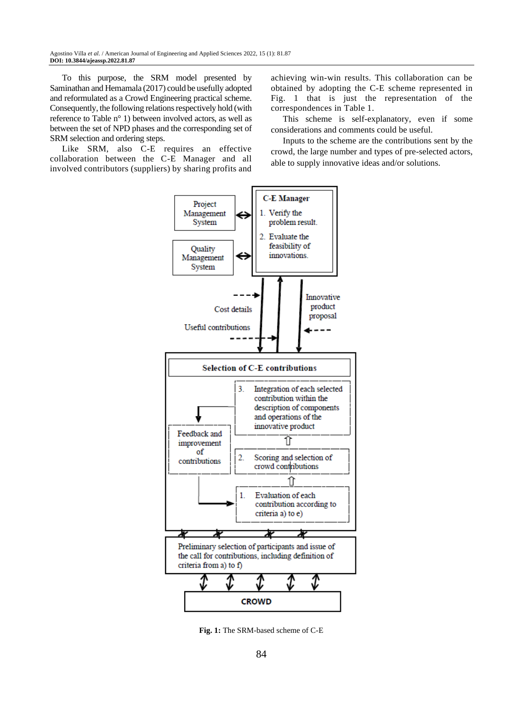To this purpose, the SRM model presented by Saminathan and Hemamala (2017) could be usefully adopted and reformulated as a Crowd Engineering practical scheme. Consequently, the following relations respectively hold (with reference to Table n° 1) between involved actors, as well as between the set of NPD phases and the corresponding set of SRM selection and ordering steps.

Like SRM, also C-E requires an effective collaboration between the C-E Manager and all involved contributors (suppliers) by sharing profits and

achieving win-win results. This collaboration can be obtained by adopting the C-E scheme represented in Fig. 1 that is just the representation of the correspondences in Table 1.

This scheme is self-explanatory, even if some considerations and comments could be useful.

Inputs to the scheme are the contributions sent by the crowd, the large number and types of pre-selected actors, able to supply innovative ideas and/or solutions.



**Fig. 1:** The SRM-based scheme of C-E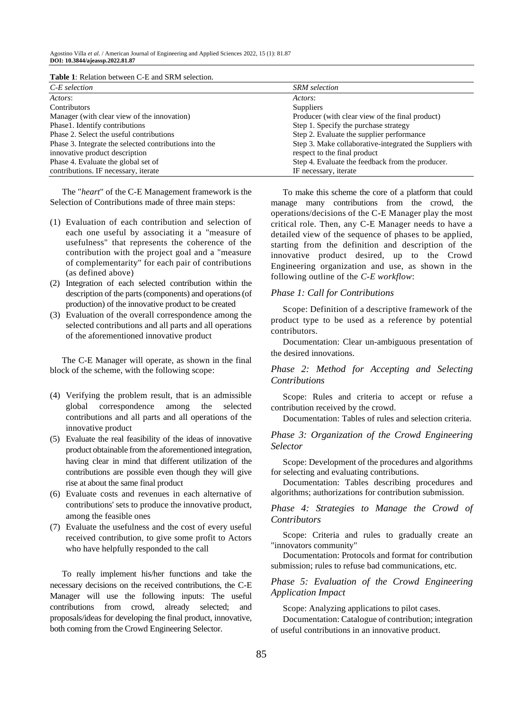| <b>Table 1:</b> Relation between C-E and SRM selection. |  |  |  |  |  |  |
|---------------------------------------------------------|--|--|--|--|--|--|
|---------------------------------------------------------|--|--|--|--|--|--|

| $C$ -E selection                                       | <b>SRM</b> selection                                     |  |  |
|--------------------------------------------------------|----------------------------------------------------------|--|--|
| Actors:                                                | Actors:                                                  |  |  |
| <b>Contributors</b>                                    | Suppliers                                                |  |  |
| Manager (with clear view of the innovation)            | Producer (with clear view of the final product)          |  |  |
| Phase1. Identify contributions                         | Step 1. Specify the purchase strategy                    |  |  |
| Phase 2. Select the useful contributions               | Step 2. Evaluate the supplier performance                |  |  |
| Phase 3. Integrate the selected contributions into the | Step 3. Make collaborative-integrated the Suppliers with |  |  |
| innovative product description                         | respect to the final product                             |  |  |
| Phase 4. Evaluate the global set of                    | Step 4. Evaluate the feedback from the producer.         |  |  |
| contributions. IF necessary, iterate                   | IF necessary, iterate                                    |  |  |

The "*heart*" of the C-E Management framework is the Selection of Contributions made of three main steps:

- (1) Evaluation of each contribution and selection of each one useful by associating it a "measure of usefulness" that represents the coherence of the contribution with the project goal and a "measure of complementarity" for each pair of contributions (as defined above)
- (2) Integration of each selected contribution within the description of the parts (components) and operations (of production) of the innovative product to be created
- (3) Evaluation of the overall correspondence among the selected contributions and all parts and all operations of the aforementioned innovative product

The C-E Manager will operate, as shown in the final block of the scheme, with the following scope:

- (4) Verifying the problem result, that is an admissible global correspondence among the selected contributions and all parts and all operations of the innovative product
- (5) Evaluate the real feasibility of the ideas of innovative product obtainable from the aforementioned integration, having clear in mind that different utilization of the contributions are possible even though they will give rise at about the same final product
- (6) Evaluate costs and revenues in each alternative of contributions' sets to produce the innovative product, among the feasible ones
- (7) Evaluate the usefulness and the cost of every useful received contribution, to give some profit to Actors who have helpfully responded to the call

To really implement his/her functions and take the necessary decisions on the received contributions, the C-E Manager will use the following inputs: The useful contributions from crowd, already selected; and proposals/ideas for developing the final product, innovative, both coming from the Crowd Engineering Selector.

To make this scheme the core of a platform that could manage many contributions from the crowd, the operations/decisions of the C-E Manager play the most critical role. Then, any C-E Manager needs to have a detailed view of the sequence of phases to be applied, starting from the definition and description of the innovative product desired, up to the Crowd Engineering organization and use, as shown in the following outline of the *C-E workflow*:

#### *Phase 1: Call for Contributions*

Scope: Definition of a descriptive framework of the product type to be used as a reference by potential contributors.

Documentation: Clear un-ambiguous presentation of the desired innovations.

#### *Phase 2: Method for Accepting and Selecting Contributions*

Scope: Rules and criteria to accept or refuse a contribution received by the crowd.

Documentation: Tables of rules and selection criteria.

#### *Phase 3: Organization of the Crowd Engineering Selector*

Scope: Development of the procedures and algorithms for selecting and evaluating contributions.

Documentation: Tables describing procedures and algorithms; authorizations for contribution submission.

*Phase 4: Strategies to Manage the Crowd of Contributors*

Scope: Criteria and rules to gradually create an "innovators community"

Documentation: Protocols and format for contribution submission; rules to refuse bad communications, etc.

#### *Phase 5: Evaluation of the Crowd Engineering Application Impact*

Scope: Analyzing applications to pilot cases.

Documentation: Catalogue of contribution; integration of useful contributions in an innovative product.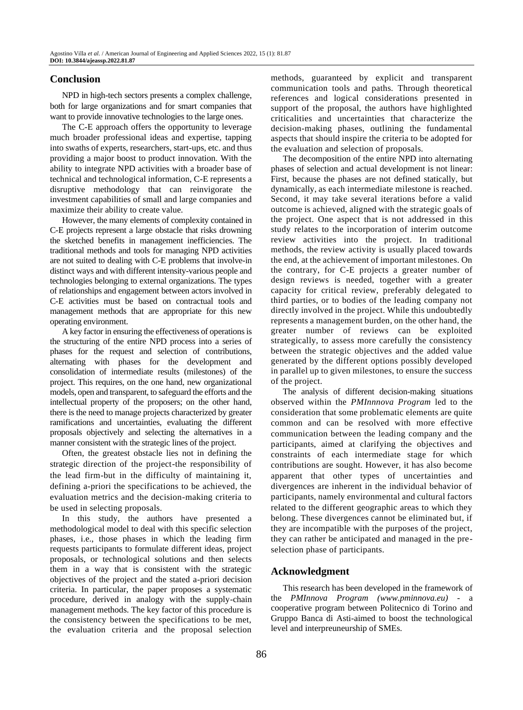## **Conclusion**

NPD in high-tech sectors presents a complex challenge, both for large organizations and for smart companies that want to provide innovative technologies to the large ones.

The C-E approach offers the opportunity to leverage much broader professional ideas and expertise, tapping into swaths of experts, researchers, start-ups, etc. and thus providing a major boost to product innovation. With the ability to integrate NPD activities with a broader base of technical and technological information, C-E represents a disruptive methodology that can reinvigorate the investment capabilities of small and large companies and maximize their ability to create value.

However, the many elements of complexity contained in C-E projects represent a large obstacle that risks drowning the sketched benefits in management inefficiencies. The traditional methods and tools for managing NPD activities are not suited to dealing with C-E problems that involve-in distinct ways and with different intensity-various people and technologies belonging to external organizations. The types of relationships and engagement between actors involved in C-E activities must be based on contractual tools and management methods that are appropriate for this new operating environment.

A key factor in ensuring the effectiveness of operations is the structuring of the entire NPD process into a series of phases for the request and selection of contributions, alternating with phases for the development and consolidation of intermediate results (milestones) of the project. This requires, on the one hand, new organizational models, open and transparent, to safeguard the efforts and the intellectual property of the proposers; on the other hand, there is the need to manage projects characterized by greater ramifications and uncertainties, evaluating the different proposals objectively and selecting the alternatives in a manner consistent with the strategic lines of the project.

Often, the greatest obstacle lies not in defining the strategic direction of the project-the responsibility of the lead firm-but in the difficulty of maintaining it, defining a-priori the specifications to be achieved, the evaluation metrics and the decision-making criteria to be used in selecting proposals.

In this study, the authors have presented a methodological model to deal with this specific selection phases, i.e., those phases in which the leading firm requests participants to formulate different ideas, project proposals, or technological solutions and then selects them in a way that is consistent with the strategic objectives of the project and the stated a-priori decision criteria. In particular, the paper proposes a systematic procedure, derived in analogy with the supply-chain management methods. The key factor of this procedure is the consistency between the specifications to be met, the evaluation criteria and the proposal selection

methods, guaranteed by explicit and transparent communication tools and paths. Through theoretical references and logical considerations presented in support of the proposal, the authors have highlighted criticalities and uncertainties that characterize the decision-making phases, outlining the fundamental aspects that should inspire the criteria to be adopted for the evaluation and selection of proposals.

The decomposition of the entire NPD into alternating phases of selection and actual development is not linear: First, because the phases are not defined statically, but dynamically, as each intermediate milestone is reached. Second, it may take several iterations before a valid outcome is achieved, aligned with the strategic goals of the project. One aspect that is not addressed in this study relates to the incorporation of interim outcome review activities into the project. In traditional methods, the review activity is usually placed towards the end, at the achievement of important milestones. On the contrary, for C-E projects a greater number of design reviews is needed, together with a greater capacity for critical review, preferably delegated to third parties, or to bodies of the leading company not directly involved in the project. While this undoubtedly represents a management burden, on the other hand, the greater number of reviews can be exploited strategically, to assess more carefully the consistency between the strategic objectives and the added value generated by the different options possibly developed in parallel up to given milestones, to ensure the success of the project.

The analysis of different decision-making situations observed within the *PMInnnova Program* led to the consideration that some problematic elements are quite common and can be resolved with more effective communication between the leading company and the participants, aimed at clarifying the objectives and constraints of each intermediate stage for which contributions are sought. However, it has also become apparent that other types of uncertainties and divergences are inherent in the individual behavior of participants, namely environmental and cultural factors related to the different geographic areas to which they belong. These divergences cannot be eliminated but, if they are incompatible with the purposes of the project, they can rather be anticipated and managed in the preselection phase of participants.

## **Acknowledgment**

This research has been developed in the framework of the *PMInnova Program [\(www.pminnova.eu\)](file:///C:/Users/IT%20Department/Downloads/www.pminnova.eu)* - a cooperative program between Politecnico di Torino and Gruppo Banca di Asti-aimed to boost the technological level and interpreuneurship of SMEs.